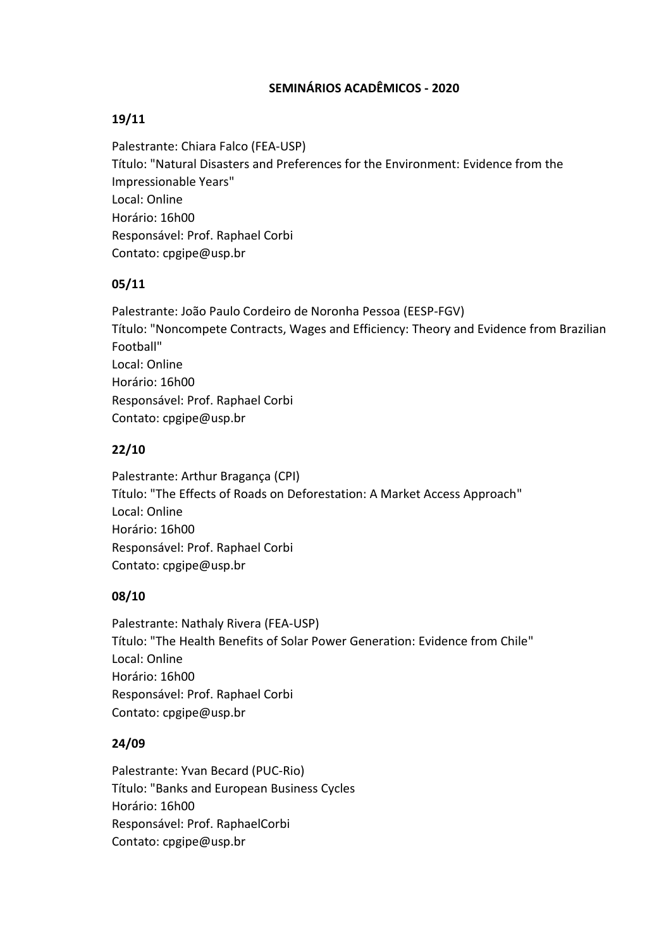### **SEMINÁRIOS ACADÊMICOS - 2020**

# **19/11**

Palestrante: Chiara Falco (FEA-USP) Título: "Natural Disasters and Preferences for the Environment: Evidence from the Impressionable Years" Local: Online Horário: 16h00 Responsável: Prof. Raphael Corbi Contato: cpgipe@usp.br

# **05/11**

Palestrante: João Paulo Cordeiro de Noronha Pessoa (EESP-FGV) Título: "Noncompete Contracts, Wages and Efficiency: Theory and Evidence from Brazilian Football" Local: Online Horário: 16h00 Responsável: Prof. Raphael Corbi Contato: cpgipe@usp.br

# **22/10**

Palestrante: Arthur Bragança (CPI) Título: "The Effects of Roads on Deforestation: A Market Access Approach" Local: Online Horário: 16h00 Responsável: Prof. Raphael Corbi Contato: cpgipe@usp.br

# **08/10**

Palestrante: Nathaly Rivera (FEA-USP) Título: "The Health Benefits of Solar Power Generation: Evidence from Chile" Local: Online Horário: 16h00 Responsável: Prof. Raphael Corbi Contato: cpgipe@usp.br

# **24/09**

Palestrante: Yvan Becard (PUC-Rio) Título: "Banks and European Business Cycles Horário: 16h00 Responsável: Prof. RaphaelCorbi Contato: cpgipe@usp.br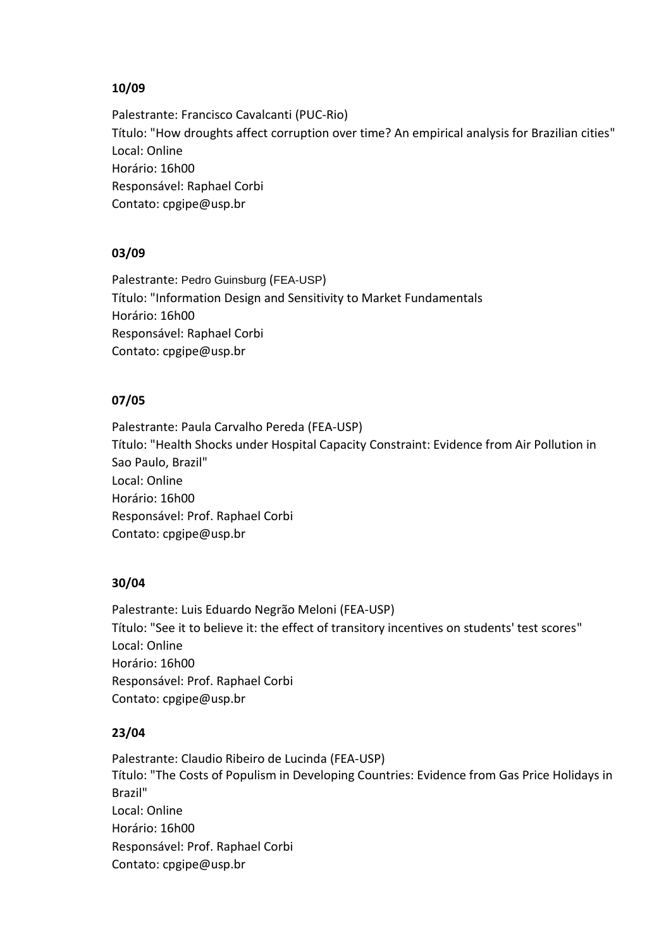### **10/09**

Palestrante: Francisco Cavalcanti (PUC-Rio) Título: "How droughts affect corruption over time? An empirical analysis for Brazilian cities" Local: Online Horário: 16h00 Responsável: Raphael Corbi Contato: cpgipe@usp.br

### **03/09**

Palestrante: Pedro Guinsburg (FEA-USP) Título: "Information Design and Sensitivity to Market Fundamentals Horário: 16h00 Responsável: Raphael Corbi Contato: cpgipe@usp.br

### **07/05**

Palestrante: Paula Carvalho Pereda (FEA-USP) Título: "Health Shocks under Hospital Capacity Constraint: Evidence from Air Pollution in Sao Paulo, Brazil" Local: Online Horário: 16h00 Responsável: Prof. Raphael Corbi Contato: cpgipe@usp.br

### **30/04**

Palestrante: Luis Eduardo Negrão Meloni (FEA-USP) Título: "See it to believe it: the effect of transitory incentives on students' test scores" Local: Online Horário: 16h00 Responsável: Prof. Raphael Corbi Contato: cpgipe@usp.br

### **23/04**

Palestrante: Claudio Ribeiro de Lucinda (FEA-USP) Título: "The Costs of Populism in Developing Countries: Evidence from Gas Price Holidays in Brazil" Local: Online Horário: 16h00 Responsável: Prof. Raphael Corbi Contato: cpgipe@usp.br